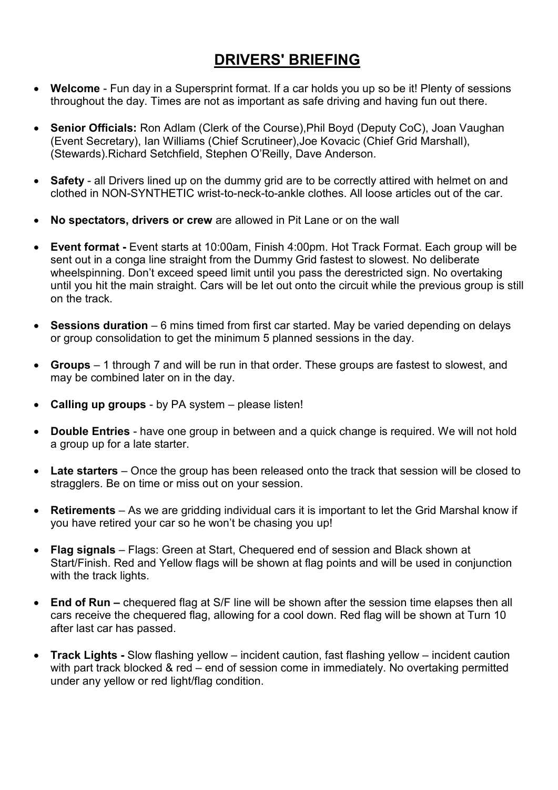## **DRIVERS' BRIEFING**

- **Welcome** Fun day in a Supersprint format. If a car holds you up so be it! Plenty of sessions throughout the day. Times are not as important as safe driving and having fun out there.
- **Senior Officials:** Ron Adlam (Clerk of the Course),Phil Boyd (Deputy CoC), Joan Vaughan (Event Secretary), Ian Williams (Chief Scrutineer),Joe Kovacic (Chief Grid Marshall), (Stewards).Richard Setchfield, Stephen O'Reilly, Dave Anderson.
- **Safety** all Drivers lined up on the dummy grid are to be correctly attired with helmet on and clothed in NON-SYNTHETIC wrist-to-neck-to-ankle clothes. All loose articles out of the car.
- **No spectators, drivers or crew** are allowed in Pit Lane or on the wall
- **Event format -** Event starts at 10:00am, Finish 4:00pm. Hot Track Format. Each group will be sent out in a conga line straight from the Dummy Grid fastest to slowest. No deliberate wheelspinning. Don't exceed speed limit until you pass the derestricted sign. No overtaking until you hit the main straight. Cars will be let out onto the circuit while the previous group is still on the track.
- **Sessions duration** 6 mins timed from first car started. May be varied depending on delays or group consolidation to get the minimum 5 planned sessions in the day.
- **Groups** 1 through 7 and will be run in that order. These groups are fastest to slowest, and may be combined later on in the day.
- **Calling up groups** by PA system please listen!
- **Double Entries** have one group in between and a quick change is required. We will not hold a group up for a late starter.
- **Late starters** Once the group has been released onto the track that session will be closed to stragglers. Be on time or miss out on your session.
- **Retirements** As we are gridding individual cars it is important to let the Grid Marshal know if you have retired your car so he won't be chasing you up!
- **Flag signals** Flags: Green at Start, Chequered end of session and Black shown at Start/Finish. Red and Yellow flags will be shown at flag points and will be used in conjunction with the track lights.
- **End of Run** chequered flag at S/F line will be shown after the session time elapses then all cars receive the chequered flag, allowing for a cool down. Red flag will be shown at Turn 10 after last car has passed.
- **Track Lights -** Slow flashing yellow incident caution, fast flashing yellow incident caution with part track blocked & red – end of session come in immediately. No overtaking permitted under any yellow or red light/flag condition.